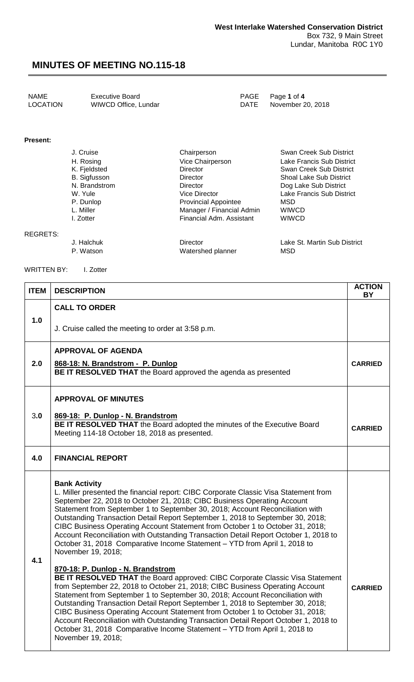NAME Executive Board<br>
LOCATION WIWCD Office, Lundar
PAGE Page 1 of 4
PAGE Page 1 of 4
PAGE Page 1 of 4
PAGE PAGE POSTION
P WIWCD Office, Lundar DATE

#### **Present:**

| J. Cruise           | Chairperson                 | Swan Creek Sub District        |
|---------------------|-----------------------------|--------------------------------|
| H. Rosing           | Vice Chairperson            | Lake Francis Sub District      |
| K. Fjeldsted        | Director                    | Swan Creek Sub District        |
| <b>B.</b> Sigfusson | Director                    | <b>Shoal Lake Sub District</b> |
| N. Brandstrom       | <b>Director</b>             | Dog Lake Sub District          |
| W. Yule             | <b>Vice Director</b>        | Lake Francis Sub District      |
| P. Dunlop           | <b>Provincial Appointee</b> | MSD                            |
| L. Miller           | Manager / Financial Admin   | <b>WIWCD</b>                   |
| I. Zotter           | Financial Adm. Assistant    | <b>WIWCD</b>                   |
|                     |                             |                                |

REGRETS:

J. Halchuk Director Lake St. Martin Sub District P. Watson Watershed planner

WRITTEN BY: I. Zotter

| <b>ITEM</b> | <b>DESCRIPTION</b>                                                                                                                                                                                                                                                                                                                                                                                                                                                                                                                                                                                                                                                          | <b>ACTION</b><br><b>BY</b> |  |
|-------------|-----------------------------------------------------------------------------------------------------------------------------------------------------------------------------------------------------------------------------------------------------------------------------------------------------------------------------------------------------------------------------------------------------------------------------------------------------------------------------------------------------------------------------------------------------------------------------------------------------------------------------------------------------------------------------|----------------------------|--|
|             | <b>CALL TO ORDER</b>                                                                                                                                                                                                                                                                                                                                                                                                                                                                                                                                                                                                                                                        |                            |  |
| 1.0         | J. Cruise called the meeting to order at 3:58 p.m.                                                                                                                                                                                                                                                                                                                                                                                                                                                                                                                                                                                                                          |                            |  |
|             | <b>APPROVAL OF AGENDA</b>                                                                                                                                                                                                                                                                                                                                                                                                                                                                                                                                                                                                                                                   |                            |  |
| 2.0         | 868-18: N. Brandstrom - P. Dunlop<br>BE IT RESOLVED THAT the Board approved the agenda as presented                                                                                                                                                                                                                                                                                                                                                                                                                                                                                                                                                                         | <b>CARRIED</b>             |  |
|             | <b>APPROVAL OF MINUTES</b>                                                                                                                                                                                                                                                                                                                                                                                                                                                                                                                                                                                                                                                  |                            |  |
| 3.0         | 869-18: P. Dunlop - N. Brandstrom<br>BE IT RESOLVED THAT the Board adopted the minutes of the Executive Board<br>Meeting 114-18 October 18, 2018 as presented.                                                                                                                                                                                                                                                                                                                                                                                                                                                                                                              | <b>CARRIED</b>             |  |
| 4.0         | <b>FINANCIAL REPORT</b>                                                                                                                                                                                                                                                                                                                                                                                                                                                                                                                                                                                                                                                     |                            |  |
| 4.1         | <b>Bank Activity</b><br>L. Miller presented the financial report: CIBC Corporate Classic Visa Statement from<br>September 22, 2018 to October 21, 2018; CIBC Business Operating Account<br>Statement from September 1 to September 30, 2018; Account Reconciliation with<br>Outstanding Transaction Detail Report September 1, 2018 to September 30, 2018;<br>CIBC Business Operating Account Statement from October 1 to October 31, 2018;<br>Account Reconciliation with Outstanding Transaction Detail Report October 1, 2018 to<br>October 31, 2018 Comparative Income Statement - YTD from April 1, 2018 to<br>November 19, 2018;<br>870-18: P. Dunlop - N. Brandstrom |                            |  |
|             | BE IT RESOLVED THAT the Board approved: CIBC Corporate Classic Visa Statement<br>from September 22, 2018 to October 21, 2018; CIBC Business Operating Account<br>Statement from September 1 to September 30, 2018; Account Reconciliation with<br>Outstanding Transaction Detail Report September 1, 2018 to September 30, 2018;<br>CIBC Business Operating Account Statement from October 1 to October 31, 2018;<br>Account Reconciliation with Outstanding Transaction Detail Report October 1, 2018 to<br>October 31, 2018 Comparative Income Statement - YTD from April 1, 2018 to<br>November 19, 2018;                                                                | <b>CARRIED</b>             |  |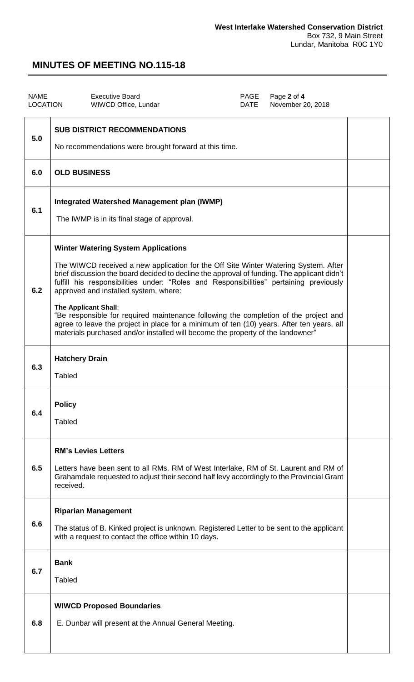| <b>NAME</b><br><b>LOCATION</b> | <b>Executive Board</b><br>PAGE<br>Page 2 of 4<br><b>DATE</b><br>November 20, 2018<br>WIWCD Office, Lundar                                                                                                                                                                                                                                                                                                                                                                                                                                                                                                                                                           |  |  |
|--------------------------------|---------------------------------------------------------------------------------------------------------------------------------------------------------------------------------------------------------------------------------------------------------------------------------------------------------------------------------------------------------------------------------------------------------------------------------------------------------------------------------------------------------------------------------------------------------------------------------------------------------------------------------------------------------------------|--|--|
| 5.0                            | <b>SUB DISTRICT RECOMMENDATIONS</b><br>No recommendations were brought forward at this time.                                                                                                                                                                                                                                                                                                                                                                                                                                                                                                                                                                        |  |  |
| 6.0                            | <b>OLD BUSINESS</b>                                                                                                                                                                                                                                                                                                                                                                                                                                                                                                                                                                                                                                                 |  |  |
| 6.1                            | <b>Integrated Watershed Management plan (IWMP)</b><br>The IWMP is in its final stage of approval.                                                                                                                                                                                                                                                                                                                                                                                                                                                                                                                                                                   |  |  |
| 6.2                            | <b>Winter Watering System Applications</b><br>The WIWCD received a new application for the Off Site Winter Watering System. After<br>brief discussion the board decided to decline the approval of funding. The applicant didn't<br>fulfill his responsibilities under: "Roles and Responsibilities" pertaining previously<br>approved and installed system, where:<br>The Applicant Shall:<br>"Be responsible for required maintenance following the completion of the project and<br>agree to leave the project in place for a minimum of ten (10) years. After ten years, all<br>materials purchased and/or installed will become the property of the landowner" |  |  |
| 6.3                            | <b>Hatchery Drain</b><br><b>Tabled</b>                                                                                                                                                                                                                                                                                                                                                                                                                                                                                                                                                                                                                              |  |  |
| 6.4                            | <b>Policy</b><br><b>Tabled</b>                                                                                                                                                                                                                                                                                                                                                                                                                                                                                                                                                                                                                                      |  |  |
| 6.5                            | <b>RM's Levies Letters</b><br>Letters have been sent to all RMs. RM of West Interlake, RM of St. Laurent and RM of<br>Grahamdale requested to adjust their second half levy accordingly to the Provincial Grant<br>received.                                                                                                                                                                                                                                                                                                                                                                                                                                        |  |  |
| 6.6                            | <b>Riparian Management</b><br>The status of B. Kinked project is unknown. Registered Letter to be sent to the applicant<br>with a request to contact the office within 10 days.                                                                                                                                                                                                                                                                                                                                                                                                                                                                                     |  |  |
| 6.7                            | <b>Bank</b><br><b>Tabled</b>                                                                                                                                                                                                                                                                                                                                                                                                                                                                                                                                                                                                                                        |  |  |
| 6.8                            | <b>WIWCD Proposed Boundaries</b><br>E. Dunbar will present at the Annual General Meeting.                                                                                                                                                                                                                                                                                                                                                                                                                                                                                                                                                                           |  |  |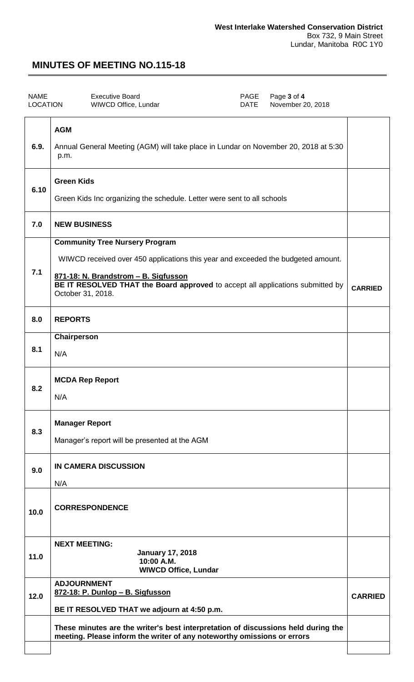| <b>NAME</b><br><b>LOCATION</b> |            | <b>Executive Board</b><br><b>WIWCD Office, Lundar</b> | PAGE<br>DATE | Page 3 of 4<br>November 20, 2018 |  |
|--------------------------------|------------|-------------------------------------------------------|--------------|----------------------------------|--|
|                                | <b>AGM</b> |                                                       |              |                                  |  |

| 6.9. | Annual General Meeting (AGM) will take place in Lundar on November 20, 2018 at 5:30<br>p.m.                                                                                                                                                                              |                |  |
|------|--------------------------------------------------------------------------------------------------------------------------------------------------------------------------------------------------------------------------------------------------------------------------|----------------|--|
| 6.10 | <b>Green Kids</b><br>Green Kids Inc organizing the schedule. Letter were sent to all schools                                                                                                                                                                             |                |  |
| 7.0  | <b>NEW BUSINESS</b>                                                                                                                                                                                                                                                      |                |  |
| 7.1  | <b>Community Tree Nursery Program</b><br>WIWCD received over 450 applications this year and exceeded the budgeted amount.<br>871-18: N. Brandstrom - B. Sigfusson<br>BE IT RESOLVED THAT the Board approved to accept all applications submitted by<br>October 31, 2018. | <b>CARRIED</b> |  |
| 8.0  | <b>REPORTS</b>                                                                                                                                                                                                                                                           |                |  |
| 8.1  | Chairperson<br>N/A                                                                                                                                                                                                                                                       |                |  |
| 8.2  | <b>MCDA Rep Report</b><br>N/A                                                                                                                                                                                                                                            |                |  |
| 8.3  | <b>Manager Report</b><br>Manager's report will be presented at the AGM                                                                                                                                                                                                   |                |  |
| 9.0  | IN CAMERA DISCUSSION<br>N/A                                                                                                                                                                                                                                              |                |  |
| 10.0 | <b>CORRESPONDENCE</b>                                                                                                                                                                                                                                                    |                |  |
| 11.0 | <b>NEXT MEETING:</b><br><b>January 17, 2018</b><br>10:00 A.M.<br><b>WIWCD Office, Lundar</b>                                                                                                                                                                             |                |  |
| 12.0 | <b>ADJOURNMENT</b><br>872-18: P. Dunlop - B. Sigfusson<br>BE IT RESOLVED THAT we adjourn at 4:50 p.m.                                                                                                                                                                    |                |  |
|      | These minutes are the writer's best interpretation of discussions held during the<br>meeting. Please inform the writer of any noteworthy omissions or errors                                                                                                             |                |  |